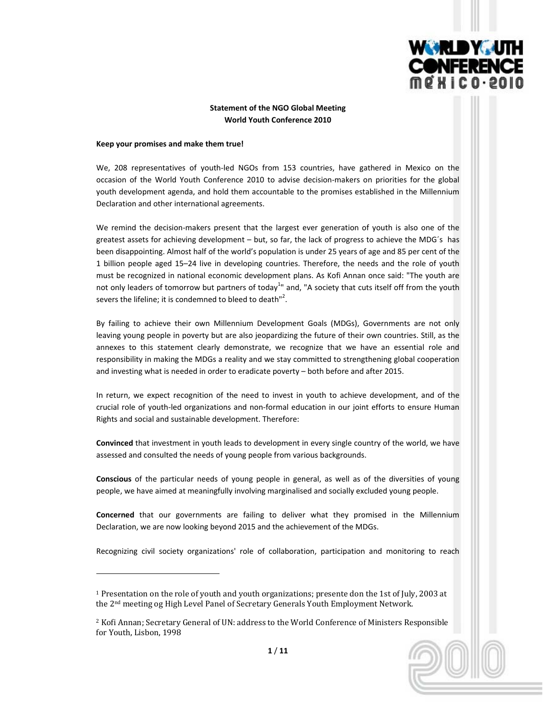

# **Statement of the NGO Global Meeting World Youth Conference 2010**

### **Keep your promises and make them true!**

We, 208 representatives of youth-led NGOs from 153 countries, have gathered in Mexico on the occasion of the World Youth Conference 2010 to advise decision-makers on priorities for the global youth development agenda, and hold them accountable to the promises established in the Millennium Declaration and other international agreements.

We remind the decision-makers present that the largest ever generation of youth is also one of the greatest assets for achieving development – but, so far, the lack of progress to achieve the MDG´s has been disappointing. Almost half of the world's population is under 25 years of age and 85 per cent of the 1 billion people aged 15–24 live in developing countries. Therefore, the needs and the role of youth must be recognized in national economic development plans. As Kofi Annan once said: "The youth are not only leaders of tomorrow but partners of today<sup>1</sup>" and, "A society that cuts itself off from the youth severs the lifeline; it is condemned to bleed to death"<sup>2</sup>.

By failing to achieve their own Millennium Development Goals (MDGs), Governments are not only leaving young people in poverty but are also jeopardizing the future of their own countries. Still, as the annexes to this statement clearly demonstrate, we recognize that we have an essential role and responsibility in making the MDGs a reality and we stay committed to strengthening global cooperation and investing what is needed in order to eradicate poverty – both before and after 2015.

In return, we expect recognition of the need to invest in youth to achieve development, and of the crucial role of youth‐led organizations and non‐formal education in our joint efforts to ensure Human Rights and social and sustainable development. Therefore:

**Convinced** that investment in youth leads to development in every single country of the world, we have assessed and consulted the needs of young people from various backgrounds.

**Conscious** of the particular needs of young people in general, as well as of the diversities of young people, we have aimed at meaningfully involving marginalised and socially excluded young people.

**Concerned** that our governments are failing to deliver what they promised in the Millennium Declaration, we are now looking beyond 2015 and the achievement of the MDGs.

Recognizing civil society organizations' role of collaboration, participation and monitoring to reach

<sup>1</sup> Presentation on the role of youth and youth organizations; presente don the 1st of July, 2003 at the 2nd meeting og High Level Panel of Secretary Generals Youth Employment Network.

<sup>&</sup>lt;sup>2</sup> Kofi Annan; Secretary General of UN: address to the World Conference of Ministers Responsible for Youth, Lisbon, 1998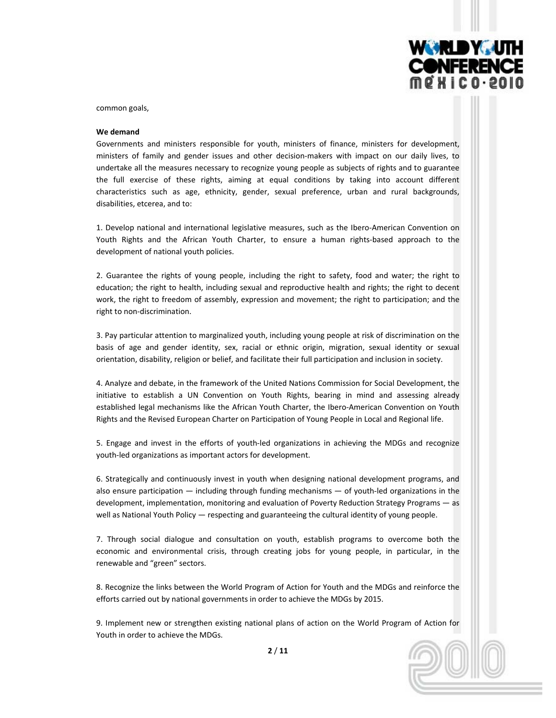

common goals,

#### **We demand**

Governments and ministers responsible for youth, ministers of finance, ministers for development, ministers of family and gender issues and other decision‐makers with impact on our daily lives, to undertake all the measures necessary to recognize young people as subjects of rights and to guarantee the full exercise of these rights, aiming at equal conditions by taking into account different characteristics such as age, ethnicity, gender, sexual preference, urban and rural backgrounds, disabilities, etcerea, and to:

1. Develop national and international legislative measures, such as the Ibero‐American Convention on Youth Rights and the African Youth Charter, to ensure a human rights-based approach to the development of national youth policies.

2. Guarantee the rights of young people, including the right to safety, food and water; the right to education; the right to health, including sexual and reproductive health and rights; the right to decent work, the right to freedom of assembly, expression and movement; the right to participation; and the right to non‐discrimination.

3. Pay particular attention to marginalized youth, including young people at risk of discrimination on the basis of age and gender identity, sex, racial or ethnic origin, migration, sexual identity or sexual orientation, disability, religion or belief, and facilitate their full participation and inclusion in society.

4. Analyze and debate, in the framework of the United Nations Commission for Social Development, the initiative to establish a UN Convention on Youth Rights, bearing in mind and assessing already established legal mechanisms like the African Youth Charter, the Ibero-American Convention on Youth Rights and the Revised European Charter on Participation of Young People in Local and Regional life.

5. Engage and invest in the efforts of youth-led organizations in achieving the MDGs and recognize youth‐led organizations as important actors for development.

6. Strategically and continuously invest in youth when designing national development programs, and also ensure participation — including through funding mechanisms — of youth‐led organizations in the development, implementation, monitoring and evaluation of Poverty Reduction Strategy Programs — as well as National Youth Policy — respecting and guaranteeing the cultural identity of young people.

7. Through social dialogue and consultation on youth, establish programs to overcome both the economic and environmental crisis, through creating jobs for young people, in particular, in the renewable and "green" sectors.

8. Recognize the links between the World Program of Action for Youth and the MDGs and reinforce the efforts carried out by national governments in order to achieve the MDGs by 2015.

9. Implement new or strengthen existing national plans of action on the World Program of Action for Youth in order to achieve the MDGs.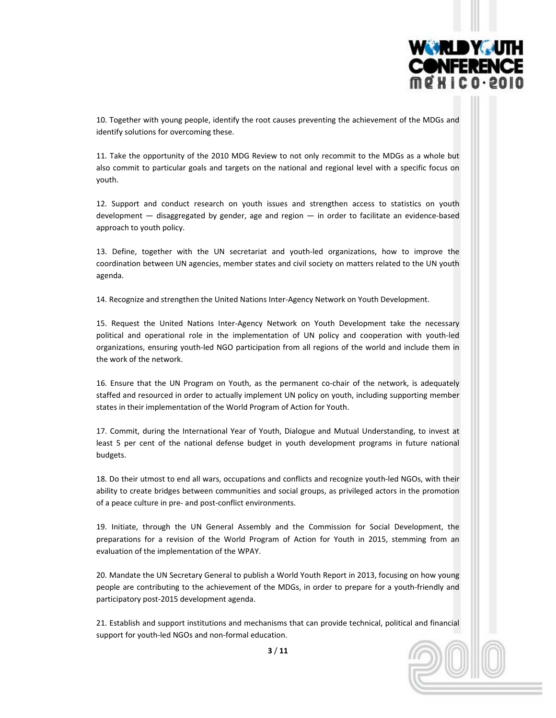

10. Together with young people, identify the root causes preventing the achievement of the MDGs and identify solutions for overcoming these.

11. Take the opportunity of the 2010 MDG Review to not only recommit to the MDGs as a whole but also commit to particular goals and targets on the national and regional level with a specific focus on youth.

12. Support and conduct research on youth issues and strengthen access to statistics on youth development — disaggregated by gender, age and region — in order to facilitate an evidence‐based approach to youth policy.

13. Define, together with the UN secretariat and youth‐led organizations, how to improve the coordination between UN agencies, member states and civil society on matters related to the UN youth agenda.

14. Recognize and strengthen the United Nations Inter‐Agency Network on Youth Development.

15. Request the United Nations Inter‐Agency Network on Youth Development take the necessary political and operational role in the implementation of UN policy and cooperation with youth‐led organizations, ensuring youth‐led NGO participation from all regions of the world and include them in the work of the network.

16. Ensure that the UN Program on Youth, as the permanent co-chair of the network, is adequately staffed and resourced in order to actually implement UN policy on youth, including supporting member states in their implementation of the World Program of Action for Youth.

17. Commit, during the International Year of Youth, Dialogue and Mutual Understanding, to invest at least 5 per cent of the national defense budget in youth development programs in future national budgets.

18. Do their utmost to end all wars, occupations and conflicts and recognize youth-led NGOs, with their ability to create bridges between communities and social groups, as privileged actors in the promotion of a peace culture in pre‐ and post‐conflict environments.

19. Initiate, through the UN General Assembly and the Commission for Social Development, the preparations for a revision of the World Program of Action for Youth in 2015, stemming from an evaluation of the implementation of the WPAY.

20. Mandate the UN Secretary General to publish a World Youth Report in 2013, focusing on how young people are contributing to the achievement of the MDGs, in order to prepare for a youth-friendly and participatory post‐2015 development agenda.

21. Establish and support institutions and mechanisms that can provide technical, political and financial support for youth-led NGOs and non-formal education.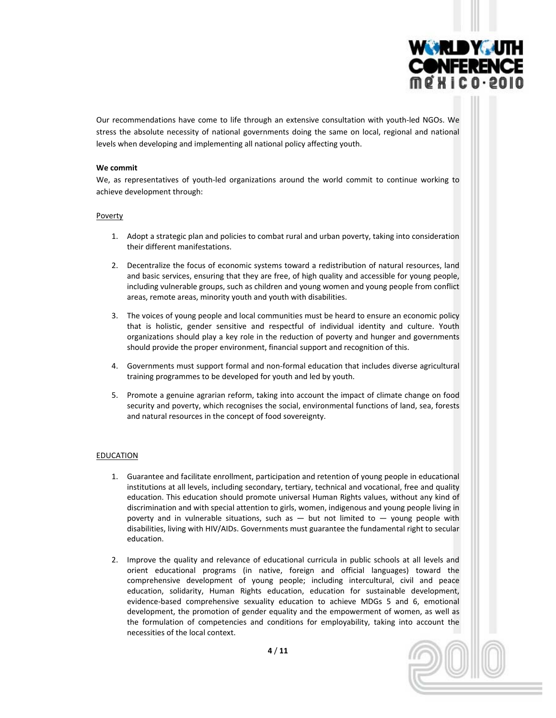

Our recommendations have come to life through an extensive consultation with youth‐led NGOs. We stress the absolute necessity of national governments doing the same on local, regional and national levels when developing and implementing all national policy affecting youth.

### **We commit**

We, as representatives of youth-led organizations around the world commit to continue working to achieve development through:

### Poverty

- 1. Adopt a strategic plan and policies to combat rural and urban poverty, taking into consideration their different manifestations.
- 2. Decentralize the focus of economic systems toward a redistribution of natural resources, land and basic services, ensuring that they are free, of high quality and accessible for young people, including vulnerable groups, such as children and young women and young people from conflict areas, remote areas, minority youth and youth with disabilities.
- 3. The voices of young people and local communities must be heard to ensure an economic policy that is holistic, gender sensitive and respectful of individual identity and culture. Youth organizations should play a key role in the reduction of poverty and hunger and governments should provide the proper environment, financial support and recognition of this.
- 4. Governments must support formal and non‐formal education that includes diverse agricultural training programmes to be developed for youth and led by youth.
- 5. Promote a genuine agrarian reform, taking into account the impact of climate change on food security and poverty, which recognises the social, environmental functions of land, sea, forests and natural resources in the concept of food sovereignty.

# EDUCATION

- 1. Guarantee and facilitate enrollment, participation and retention of young people in educational institutions at all levels, including secondary, tertiary, technical and vocational, free and quality education. This education should promote universal Human Rights values, without any kind of discrimination and with special attention to girls, women, indigenous and young people living in poverty and in vulnerable situations, such as — but not limited to — young people with disabilities, living with HIV/AIDs. Governments must guarantee the fundamental right to secular education.
- 2. Improve the quality and relevance of educational curricula in public schools at all levels and orient educational programs (in native, foreign and official languages) toward the comprehensive development of young people; including intercultural, civil and peace education, solidarity, Human Rights education, education for sustainable development, evidence‐based comprehensive sexuality education to achieve MDGs 5 and 6, emotional development, the promotion of gender equality and the empowerment of women, as well as the formulation of competencies and conditions for employability, taking into account the necessities of the local context.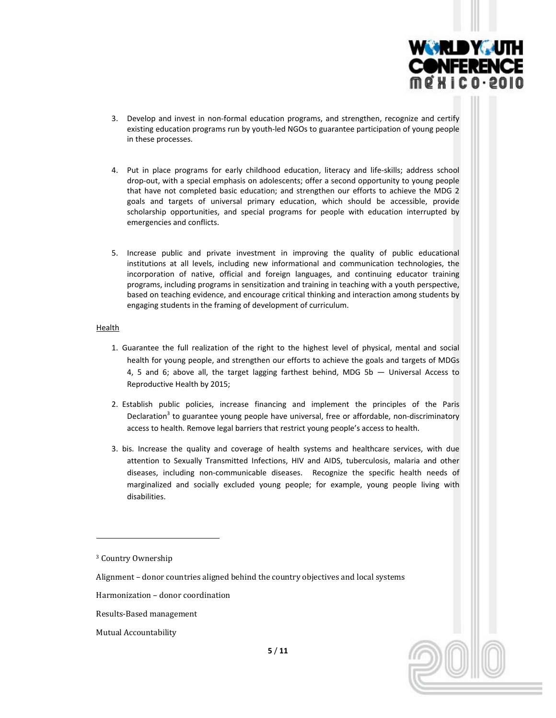

- 3. Develop and invest in non‐formal education programs, and strengthen, recognize and certify existing education programs run by youth-led NGOs to guarantee participation of young people in these processes.
- 4. Put in place programs for early childhood education, literacy and life-skills; address school drop-out, with a special emphasis on adolescents; offer a second opportunity to young people that have not completed basic education; and strengthen our efforts to achieve the MDG 2 goals and targets of universal primary education, which should be accessible, provide scholarship opportunities, and special programs for people with education interrupted by emergencies and conflicts.
- 5. Increase public and private investment in improving the quality of public educational institutions at all levels, including new informational and communication technologies, the incorporation of native, official and foreign languages, and continuing educator training programs, including programs in sensitization and training in teaching with a youth perspective, based on teaching evidence, and encourage critical thinking and interaction among students by engaging students in the framing of development of curriculum.

### Health

- 1. Guarantee the full realization of the right to the highest level of physical, mental and social health for young people, and strengthen our efforts to achieve the goals and targets of MDGs 4, 5 and 6; above all, the target lagging farthest behind, MDG 5b — Universal Access to Reproductive Health by 2015;
- 2. Establish public policies, increase financing and implement the principles of the Paris Declaration<sup>3</sup> to guarantee young people have universal, free or affordable, non-discriminatory access to health. Remove legal barriers that restrict young people's access to health.
- 3. bis. Increase the quality and coverage of health systems and healthcare services, with due attention to Sexually Transmitted Infections, HIV and AIDS, tuberculosis, malaria and other diseases, including non‐communicable diseases. Recognize the specific health needs of marginalized and socially excluded young people; for example, young people living with disabilities.

<sup>&</sup>lt;sup>3</sup> Country Ownership

Alignment – donor countries aligned behind the country objectives and local systems

Harmonization – donor coordination

Results‐Based management

Mutual Accountability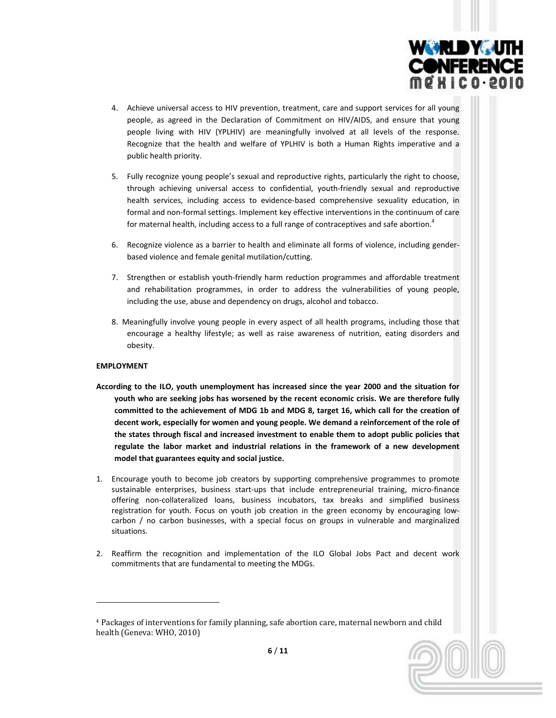

- 4. Achieve universal access to HIV prevention, treatment, care and support services for all young people, as agreed in the Declaration of Commitment on HIV/AIDS, and ensure that young people living with HIV (YPLHIV) are meaningfully involved at all levels of the response. Recognize that the health and welfare of YPLHIV is both a Human Rights imperative and a public health priority.
- 5. Fully recognize young people's sexual and reproductive rights, particularly the right to choose, through achieving universal access to confidential, youth‐friendly sexual and reproductive health services, including access to evidence-based comprehensive sexuality education, in formal and non‐formal settings. Implement key effective interventions in the continuum of care for maternal health, including access to a full range of contraceptives and safe abortion.<sup>4</sup>
- 6. Recognize violence as a barrier to health and eliminate all forms of violence, including gender‐ based violence and female genital mutilation/cutting.
- 7. Strengthen or establish youth‐friendly harm reduction programmes and affordable treatment and rehabilitation programmes, in order to address the vulnerabilities of young people, including the use, abuse and dependency on drugs, alcohol and tobacco.
- 8. Meaningfully involve young people in every aspect of all health programs, including those that encourage a healthy lifestyle; as well as raise awareness of nutrition, eating disorders and obesity.

# **EMPLOYMENT**

- **According to the ILO, youth unemployment has increased since the year 2000 and the situation for youth who are seeking jobs has worsened by the recent economic crisis. We are therefore fully committed to the achievement of MDG 1b and MDG 8, target 16, which call for the creation of decent work, especially for women and young people. We demand a reinforcement of the role of the states through fiscal and increased investment to enable them to adopt public policies that regulate the labor market and industrial relations in the framework of a new development model that guarantees equity and social justice.**
- 1. Encourage youth to become job creators by supporting comprehensive programmes to promote sustainable enterprises, business start-ups that include entrepreneurial training, micro-finance offering non‐collateralized loans, business incubators, tax breaks and simplified business registration for youth. Focus on youth job creation in the green economy by encouraging low‐ carbon / no carbon businesses, with a special focus on groups in vulnerable and marginalized situations.
- 2. Reaffirm the recognition and implementation of the ILO Global Jobs Pact and decent work commitments that are fundamental to meeting the MDGs.

<sup>4</sup> Packages of interventions for family planning, safe abortion care, maternal newborn and child health (Geneva: WHO, 2010)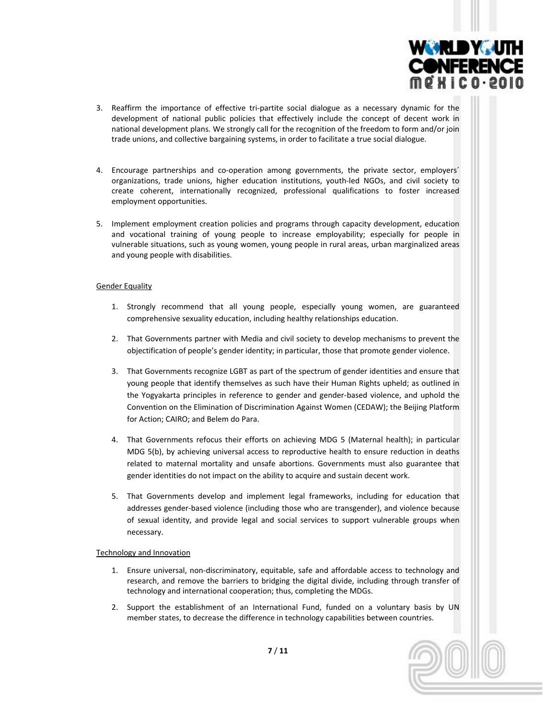

- 3. Reaffirm the importance of effective tri‐partite social dialogue as a necessary dynamic for the development of national public policies that effectively include the concept of decent work in national development plans. We strongly call for the recognition of the freedom to form and/or join trade unions, and collective bargaining systems, in order to facilitate a true social dialogue.
- 4. Encourage partnerships and co-operation among governments, the private sector, employers' organizations, trade unions, higher education institutions, youth‐led NGOs, and civil society to create coherent, internationally recognized, professional qualifications to foster increased employment opportunities.
- 5. Implement employment creation policies and programs through capacity development, education and vocational training of young people to increase employability; especially for people in vulnerable situations, such as young women, young people in rural areas, urban marginalized areas and young people with disabilities.

### Gender Equality

- 1. Strongly recommend that all young people, especially young women, are guaranteed comprehensive sexuality education, including healthy relationships education.
- 2. That Governments partner with Media and civil society to develop mechanisms to prevent the objectification of people's gender identity; in particular, those that promote gender violence.
- 3. That Governments recognize LGBT as part of the spectrum of gender identities and ensure that young people that identify themselves as such have their Human Rights upheld; as outlined in the Yogyakarta principles in reference to gender and gender‐based violence, and uphold the Convention on the Elimination of Discrimination Against Women (CEDAW); the Beijing Platform for Action; CAIRO; and Belem do Para.
- 4. That Governments refocus their efforts on achieving MDG 5 (Maternal health); in particular MDG 5(b), by achieving universal access to reproductive health to ensure reduction in deaths related to maternal mortality and unsafe abortions. Governments must also guarantee that gender identities do not impact on the ability to acquire and sustain decent work.
- 5. That Governments develop and implement legal frameworks, including for education that addresses gender‐based violence (including those who are transgender), and violence because of sexual identity, and provide legal and social services to support vulnerable groups when necessary.

### Technology and Innovation

- 1. Ensure universal, non-discriminatory, equitable, safe and affordable access to technology and research, and remove the barriers to bridging the digital divide, including through transfer of technology and international cooperation; thus, completing the MDGs.
- 2. Support the establishment of an International Fund, funded on a voluntary basis by UN member states, to decrease the difference in technology capabilities between countries.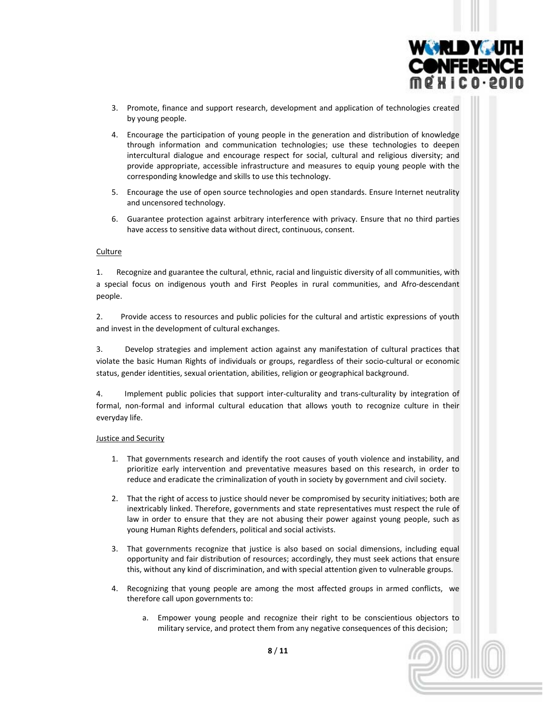

- 3. Promote, finance and support research, development and application of technologies created by young people.
- 4. Encourage the participation of young people in the generation and distribution of knowledge through information and communication technologies; use these technologies to deepen intercultural dialogue and encourage respect for social, cultural and religious diversity; and provide appropriate, accessible infrastructure and measures to equip young people with the corresponding knowledge and skills to use this technology.
- 5. Encourage the use of open source technologies and open standards. Ensure Internet neutrality and uncensored technology.
- 6. Guarantee protection against arbitrary interference with privacy. Ensure that no third parties have access to sensitive data without direct, continuous, consent.

### **Culture**

1. Recognize and guarantee the cultural, ethnic, racial and linguistic diversity of all communities, with a special focus on indigenous youth and First Peoples in rural communities, and Afro‐descendant people.

2. Provide access to resources and public policies for the cultural and artistic expressions of youth and invest in the development of cultural exchanges.

3. Develop strategies and implement action against any manifestation of cultural practices that violate the basic Human Rights of individuals or groups, regardless of their socio‐cultural or economic status, gender identities, sexual orientation, abilities, religion or geographical background.

4. Implement public policies that support inter‐culturality and trans‐culturality by integration of formal, non-formal and informal cultural education that allows youth to recognize culture in their everyday life.

### Justice and Security

- 1. That governments research and identify the root causes of youth violence and instability, and prioritize early intervention and preventative measures based on this research, in order to reduce and eradicate the criminalization of youth in society by government and civil society.
- 2. That the right of access to justice should never be compromised by security initiatives; both are inextricably linked. Therefore, governments and state representatives must respect the rule of law in order to ensure that they are not abusing their power against young people, such as young Human Rights defenders, political and social activists.
- 3. That governments recognize that justice is also based on social dimensions, including equal opportunity and fair distribution of resources; accordingly, they must seek actions that ensure this, without any kind of discrimination, and with special attention given to vulnerable groups.
- 4. Recognizing that young people are among the most affected groups in armed conflicts, we therefore call upon governments to:
	- a. Empower young people and recognize their right to be conscientious objectors to military service, and protect them from any negative consequences of this decision;

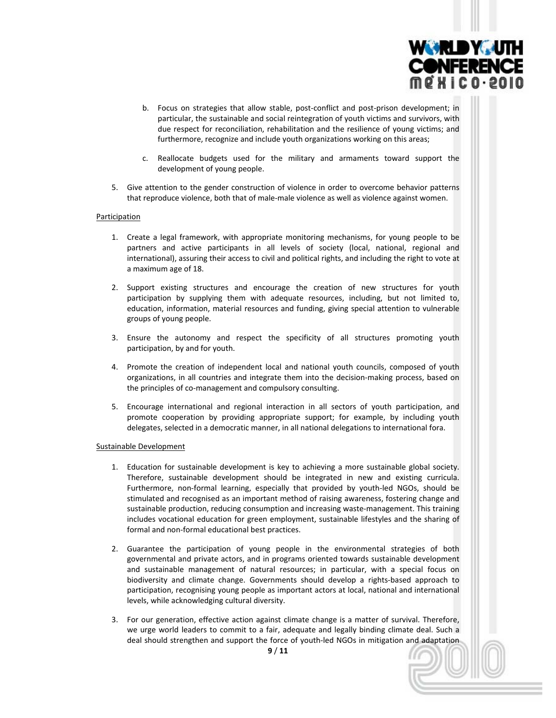

- b. Focus on strategies that allow stable, post-conflict and post-prison development; in particular, the sustainable and social reintegration of youth victims and survivors, with due respect for reconciliation, rehabilitation and the resilience of young victims; and furthermore, recognize and include youth organizations working on this areas;
- c. Reallocate budgets used for the military and armaments toward support the development of young people.
- 5. Give attention to the gender construction of violence in order to overcome behavior patterns that reproduce violence, both that of male‐male violence as well as violence against women.

#### Participation

- 1. Create a legal framework, with appropriate monitoring mechanisms, for young people to be partners and active participants in all levels of society (local, national, regional and international), assuring their access to civil and political rights, and including the right to vote at a maximum age of 18.
- 2. Support existing structures and encourage the creation of new structures for youth participation by supplying them with adequate resources, including, but not limited to, education, information, material resources and funding, giving special attention to vulnerable groups of young people.
- 3. Ensure the autonomy and respect the specificity of all structures promoting youth participation, by and for youth.
- 4. Promote the creation of independent local and national youth councils, composed of youth organizations, in all countries and integrate them into the decision-making process, based on the principles of co-management and compulsory consulting.
- 5. Encourage international and regional interaction in all sectors of youth participation, and promote cooperation by providing appropriate support; for example, by including youth delegates, selected in a democratic manner, in all national delegations to international fora.

#### Sustainable Development

- 1. Education for sustainable development is key to achieving a more sustainable global society. Therefore, sustainable development should be integrated in new and existing curricula. Furthermore, non-formal learning, especially that provided by youth-led NGOs, should be stimulated and recognised as an important method of raising awareness, fostering change and sustainable production, reducing consumption and increasing waste‐management. This training includes vocational education for green employment, sustainable lifestyles and the sharing of formal and non‐formal educational best practices.
- 2. Guarantee the participation of young people in the environmental strategies of both governmental and private actors, and in programs oriented towards sustainable development and sustainable management of natural resources; in particular, with a special focus on biodiversity and climate change. Governments should develop a rights‐based approach to participation, recognising young people as important actors at local, national and international levels, while acknowledging cultural diversity.
- 3. For our generation, effective action against climate change is a matter of survival. Therefore, we urge world leaders to commit to a fair, adequate and legally binding climate deal. Such a deal should strengthen and support the force of youth‐led NGOs in mitigation and adaptation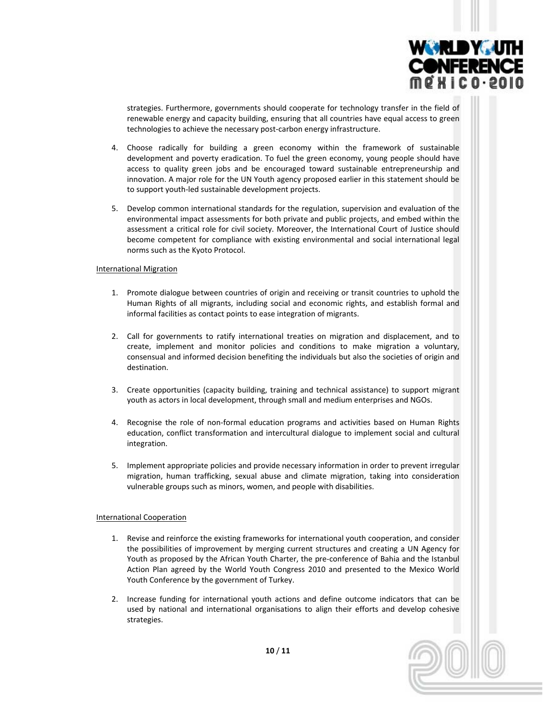

strategies. Furthermore, governments should cooperate for technology transfer in the field of renewable energy and capacity building, ensuring that all countries have equal access to green technologies to achieve the necessary post‐carbon energy infrastructure.

- 4. Choose radically for building a green economy within the framework of sustainable development and poverty eradication. To fuel the green economy, young people should have access to quality green jobs and be encouraged toward sustainable entrepreneurship and innovation. A major role for the UN Youth agency proposed earlier in this statement should be to support youth‐led sustainable development projects.
- 5. Develop common international standards for the regulation, supervision and evaluation of the environmental impact assessments for both private and public projects, and embed within the assessment a critical role for civil society. Moreover, the International Court of Justice should become competent for compliance with existing environmental and social international legal norms such as the Kyoto Protocol.

### International Migration

- 1. Promote dialogue between countries of origin and receiving or transit countries to uphold the Human Rights of all migrants, including social and economic rights, and establish formal and informal facilities as contact points to ease integration of migrants.
- 2. Call for governments to ratify international treaties on migration and displacement, and to create, implement and monitor policies and conditions to make migration a voluntary, consensual and informed decision benefiting the individuals but also the societies of origin and destination.
- 3. Create opportunities (capacity building, training and technical assistance) to support migrant youth as actors in local development, through small and medium enterprises and NGOs.
- 4. Recognise the role of non‐formal education programs and activities based on Human Rights education, conflict transformation and intercultural dialogue to implement social and cultural integration.
- 5. Implement appropriate policies and provide necessary information in order to prevent irregular migration, human trafficking, sexual abuse and climate migration, taking into consideration vulnerable groups such as minors, women, and people with disabilities.

# International Cooperation

- 1. Revise and reinforce the existing frameworks for international youth cooperation, and consider the possibilities of improvement by merging current structures and creating a UN Agency for Youth as proposed by the African Youth Charter, the pre‐conference of Bahia and the Istanbul Action Plan agreed by the World Youth Congress 2010 and presented to the Mexico World Youth Conference by the government of Turkey.
- 2. Increase funding for international youth actions and define outcome indicators that can be used by national and international organisations to align their efforts and develop cohesive strategies.